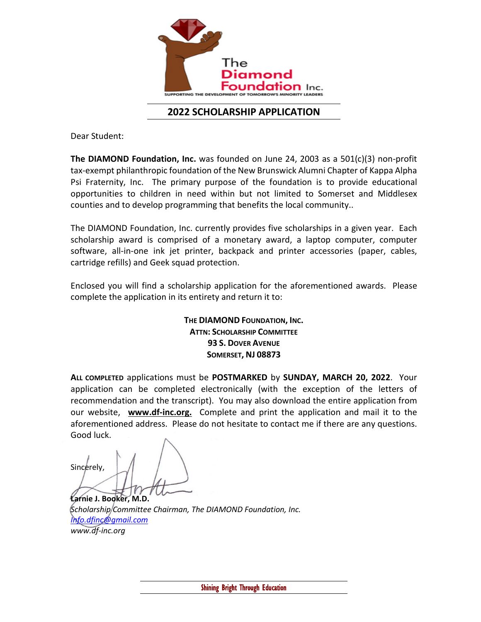

## **2022 SCHOLARSHIP APPLICATION**

Dear Student:

**The DIAMOND Foundation, Inc.** was founded on June 24, 2003 as a 501(c)(3) non-profit tax-exempt philanthropic foundation of the New Brunswick Alumni Chapter of Kappa Alpha Psi Fraternity, Inc. The primary purpose of the foundation is to provide educational opportunities to children in need within but not limited to Somerset and Middlesex counties and to develop programming that benefits the local community..

The DIAMOND Foundation, Inc. currently provides five scholarships in a given year. Each scholarship award is comprised of a monetary award, a laptop computer, computer software, all-in-one ink jet printer, backpack and printer accessories (paper, cables, cartridge refills) and Geek squad protection.

Enclosed you will find a scholarship application for the aforementioned awards. Please complete the application in its entirety and return it to:

> **THE DIAMOND FOUNDATION, INC. ATTN: SCHOLARSHIP COMMITTEE 93 S. DOVER AVENUE SOMERSET, NJ 08873**

**ALL COMPLETED** applications must be **POSTMARKED** by **SUNDAY, MARCH 20, 2022**. Your application can be completed electronically (with the exception of the letters of recommendation and the transcript). You may also download the entire application from our website, **www.df-inc.org.** Complete and print the application and mail it to the aforementioned address. Please do not hesitate to contact me if there are any questions. Good luck.

Sincerely,

**Larnie J. Booker, M.D.** *Scholarship Committee Chairman, The DIAMOND Foundation, Inc. [Info.dfinc@gmail.com](mailto:Info.dfinc@gmail.com) www.df-inc.org*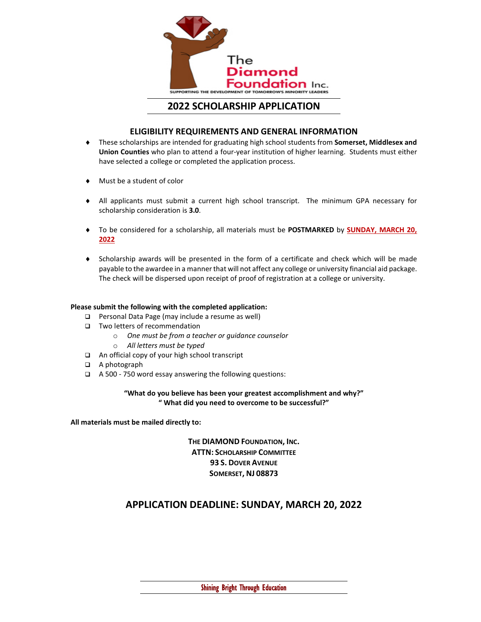

### **2022 SCHOLARSHIP APPLICATION**

#### **ELIGIBILITY REQUIREMENTS AND GENERAL INFORMATION**

- ♦ These scholarships are intended for graduating high school students from **Somerset, Middlesex and Union Counties** who plan to attend a four-year institution of higher learning. Students must either have selected a college or completed the application process.
- ♦ Must be a student of color
- ♦ All applicants must submit a current high school transcript. The minimum GPA necessary for scholarship consideration is **3.0**.
- ♦ To be considered for a scholarship, all materials must be **POSTMARKED** by **SUNDAY, MARCH 20, 2022**
- ♦ Scholarship awards will be presented in the form of a certificate and check which will be made payable to the awardee in a manner that will not affect any college or university financial aid package. The check will be dispersed upon receipt of proof of registration at a college or university.

#### **Please submit the following with the completed application:**

- □ Personal Data Page (may include a resume as well)
- □ Two letters of recommendation
	- o *One must be from a teacher or guidance counselor*
	- o *All letters must be typed*
- □ An official copy of your high school transcript
- □ A photograph
- A 500 750 word essay answering the following questions:

#### **"What do you believe has been your greatest accomplishment and why?" " What did you need to overcome to be successful?"**

**All materials must be mailed directly to:**

**THE DIAMOND FOUNDATION, INC. ATTN: SCHOLARSHIP COMMITTEE 93 S. DOVER AVENUE SOMERSET, NJ 08873**

## **APPLICATION DEADLINE: SUNDAY, MARCH 20, 2022**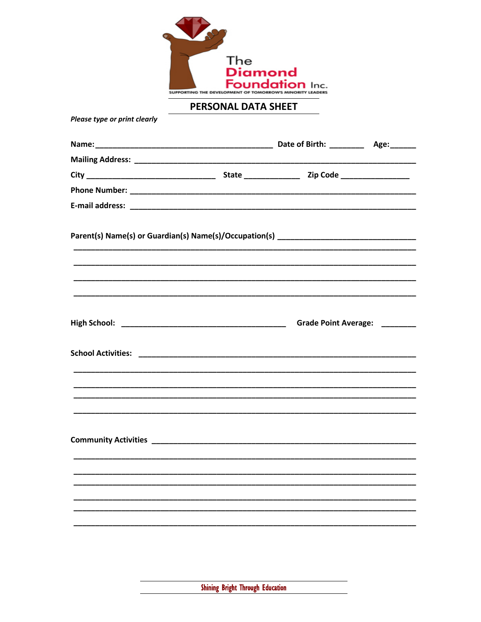

PERSONAL DATA SHEET

Please type or print clearly

|  | <u> 1989 - Johann John Stone, market eta ingilaria (h. 1989).</u> |  |
|--|-------------------------------------------------------------------|--|
|  |                                                                   |  |
|  |                                                                   |  |
|  | Grade Point Average: _______                                      |  |
|  |                                                                   |  |
|  |                                                                   |  |
|  |                                                                   |  |
|  |                                                                   |  |
|  |                                                                   |  |
|  |                                                                   |  |
|  |                                                                   |  |
|  |                                                                   |  |
|  |                                                                   |  |
|  |                                                                   |  |
|  |                                                                   |  |
|  |                                                                   |  |
|  |                                                                   |  |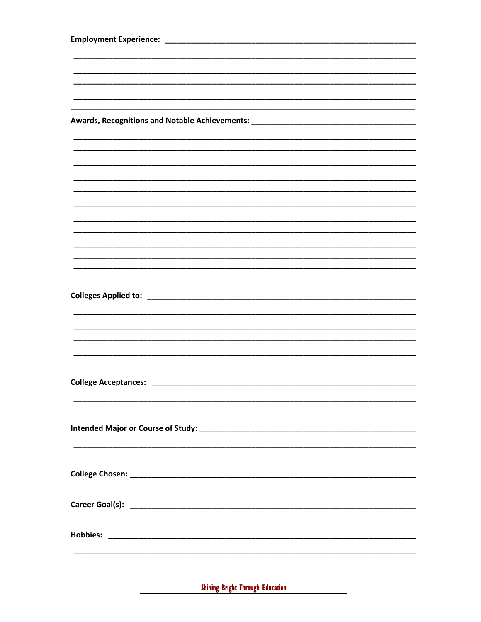| Awards, Recognitions and Notable Achievements: __________________________________ |  |  |  |
|-----------------------------------------------------------------------------------|--|--|--|
|                                                                                   |  |  |  |
|                                                                                   |  |  |  |
|                                                                                   |  |  |  |
|                                                                                   |  |  |  |
|                                                                                   |  |  |  |
|                                                                                   |  |  |  |
|                                                                                   |  |  |  |
|                                                                                   |  |  |  |
|                                                                                   |  |  |  |
|                                                                                   |  |  |  |
|                                                                                   |  |  |  |
|                                                                                   |  |  |  |
|                                                                                   |  |  |  |
|                                                                                   |  |  |  |
|                                                                                   |  |  |  |
|                                                                                   |  |  |  |
|                                                                                   |  |  |  |
|                                                                                   |  |  |  |
|                                                                                   |  |  |  |
|                                                                                   |  |  |  |
|                                                                                   |  |  |  |
|                                                                                   |  |  |  |
|                                                                                   |  |  |  |
|                                                                                   |  |  |  |
|                                                                                   |  |  |  |
|                                                                                   |  |  |  |
|                                                                                   |  |  |  |
|                                                                                   |  |  |  |
|                                                                                   |  |  |  |
|                                                                                   |  |  |  |
|                                                                                   |  |  |  |
|                                                                                   |  |  |  |
|                                                                                   |  |  |  |
|                                                                                   |  |  |  |

**Shining Bright Through Education**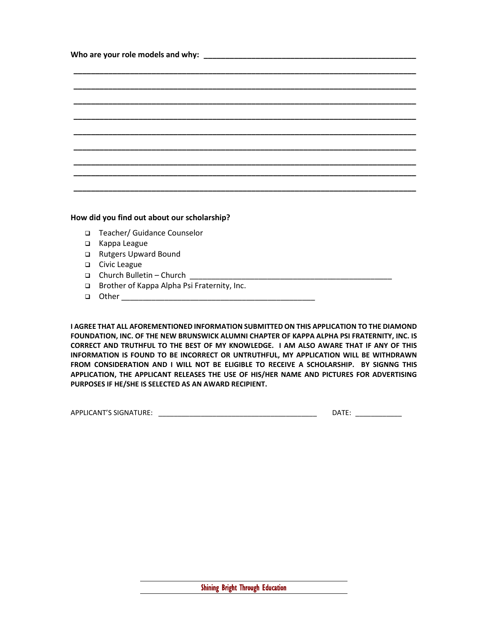#### **How did you find out about our scholarship?**

- □ Teacher/ Guidance Counselor
- □ Kappa League
- □ Rutgers Upward Bound
- **Q** Civic League
- $\Box$  Church Bulletin Church
- □ Brother of Kappa Alpha Psi Fraternity, Inc.
- Other \_\_\_\_\_\_\_\_\_\_\_\_\_\_\_\_\_\_\_\_\_\_\_\_\_\_\_\_\_\_\_\_\_\_\_\_\_\_\_\_\_\_\_\_\_

**I AGREE THAT ALL AFOREMENTIONED INFORMATION SUBMITTED ON THIS APPLICATION TO THE DIAMOND FOUNDATION, INC. OF THE NEW BRUNSWICK ALUMNI CHAPTER OF KAPPA ALPHA PSI FRATERNITY, INC. IS CORRECT AND TRUTHFUL TO THE BEST OF MY KNOWLEDGE. I AM ALSO AWARE THAT IF ANY OF THIS INFORMATION IS FOUND TO BE INCORRECT OR UNTRUTHFUL, MY APPLICATION WILL BE WITHDRAWN FROM CONSIDERATION AND I WILL NOT BE ELIGIBLE TO RECEIVE A SCHOLARSHIP. BY SIGNNG THIS APPLICATION, THE APPLICANT RELEASES THE USE OF HIS/HER NAME AND PICTURES FOR ADVERTISING PURPOSES IF HE/SHE IS SELECTED AS AN AWARD RECIPIENT.**

| S SIGNATURE:<br>APPLICANT'S |  | ----<br>OΔ |
|-----------------------------|--|------------|
|-----------------------------|--|------------|